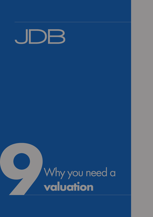## DB  $\Box$

# Why you need a **valuation**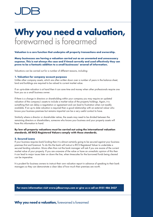## **Why you need a valuation,**  forewarned is forearmed

## **Valuation is a core function that underpins all property transactions and ownership.**

**Many businesses see having a valuation carried out as an unwanted and unnecessary expense. This is not always the case and if timed correctly and used effectively they can prove to be a fantastic addition to a small businesses' arsenal of information.**

Valuations can be carried out for a number of different reasons, including:

### **1. Valuation for company account purposes**

Unlike other company assets, which are often written down over a number of years in the balance sheet, land and buildings are required to be valued to current market value.

If an up-to-date valuation is at hand then it can save time and money when other professionals require one from you as a small business owner.

If there is a change in directors or shareholding within your company you may require an updated valuation of the company's assets to include a market value of the property holdings. Again, it is something that can delay a negotiation or agreement and can lead to frustration when not readily available. If an up to date valuation is required then a good relationship with an external valuer who knows your business premises but remains impartial can be a very useful contact to have.

Similarly where a director or shareholder retires, the assets may need to be divided between the remaining directors or shareholders, someone who knows your business and your property assets will have this information to hand.

## **By law all property valuations must be carried out using the international valuation standards. All RICS Registered Valuers comply with these standards.**

### **2. Secured Loans**

If your business requires bank funding then it is almost certainly going to be secured against your business premises first and foremost. To do this the bank will instruct a RICS Registered Valuer to undertake a secured lending valuation. More often than not the bank manager will ask if you are aware of the current market value of your property. If you are unaware of the value or have an unrealistic opinion of this then it can lead to major issues later on down the line, when timescales for the borrowed funds being cleared can be imperative.

It is prudent for business owners to instruct their own valuation report in advance of speaking to their bank managers so they can demonstrate a clear idea of how much their premises are worth.

**For more information visit www.jdbsurveys.com or give us a call on 0151 486 3437**

## **Why you need a valuation,** forewarned is forearmed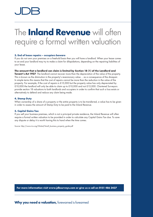## The **Inland Revenue** will often require a formal written valuation

## **3. End of lease repairs – occupiers beware**

If you do not own your premises on a freehold basis then you will have a landlord. When your lease comes to an end your landlord may try to make a claim for dilapidations, depending on the repairing liabilities of your lease.

## **The amount that a landlord can claim is limited by Section 18 (1) of the Landlord and**

**Tenant's Act 1927**. The landlord cannot recover more than the depreciation of the value of the property. This is known as the diminution in the property's reversionary value ... as a consequence of the disrepair. In simple terms this means that the cost of repairs cannot be more than the reduction in the value of the property. For example, if the cost of repairs is £15,000 but the property value has only depreciated by £10,000 the landlord will only be able to claim up to £10,000 and not £15,000. Chartered Surveyors provide section 18 valuations to both landlords and occupiers in order to confirm that such a loss exists or alternatively to defend and reduce any claim being made.

## **4. Stamp Duty**

When ownership of a share of a property or the entire property is to be transferred, a value has to be given in order to assess the amount of Stamp Duty to be paid to the Inland Revenue.

## **5. Capital Gains Tax**

If you sell your business premises, which is not a principal private residence, the Inland Revenue will often require a formal written valuation to be provided in order to calculate any Capital Gains Tax due. To save any dispute or delay it is worth having this to hand when the time comes.

Source: http://www.rics.org/Global/Small\_business\_property\_guide.pdf

**For more information visit www.jdbsurveys.com or give us a call on 0151 486 3437**

## **Why you need a valuation,** forewarned is forearmed